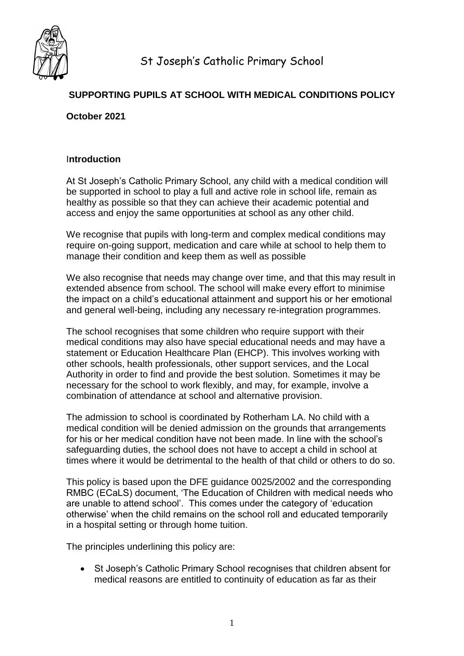

# **SUPPORTING PUPILS AT SCHOOL WITH MEDICAL CONDITIONS POLICY**

### **October 2021**

### I**ntroduction**

At St Joseph's Catholic Primary School, any child with a medical condition will be supported in school to play a full and active role in school life, remain as healthy as possible so that they can achieve their academic potential and access and enjoy the same opportunities at school as any other child.

We recognise that pupils with long-term and complex medical conditions may require on-going support, medication and care while at school to help them to manage their condition and keep them as well as possible

We also recognise that needs may change over time, and that this may result in extended absence from school. The school will make every effort to minimise the impact on a child's educational attainment and support his or her emotional and general well-being, including any necessary re-integration programmes.

The school recognises that some children who require support with their medical conditions may also have special educational needs and may have a statement or Education Healthcare Plan (EHCP). This involves working with other schools, health professionals, other support services, and the Local Authority in order to find and provide the best solution. Sometimes it may be necessary for the school to work flexibly, and may, for example, involve a combination of attendance at school and alternative provision.

The admission to school is coordinated by Rotherham LA. No child with a medical condition will be denied admission on the grounds that arrangements for his or her medical condition have not been made. In line with the school's safeguarding duties, the school does not have to accept a child in school at times where it would be detrimental to the health of that child or others to do so.

This policy is based upon the DFE guidance 0025/2002 and the corresponding RMBC (ECaLS) document, 'The Education of Children with medical needs who are unable to attend school'. This comes under the category of 'education otherwise' when the child remains on the school roll and educated temporarily in a hospital setting or through home tuition.

The principles underlining this policy are:

 St Joseph's Catholic Primary School recognises that children absent for medical reasons are entitled to continuity of education as far as their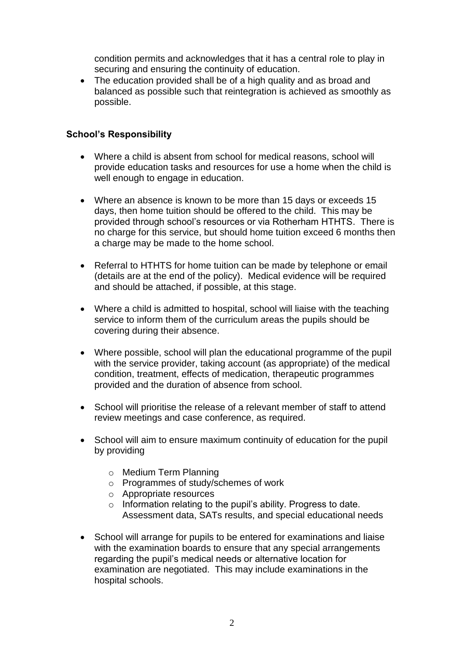condition permits and acknowledges that it has a central role to play in securing and ensuring the continuity of education.

• The education provided shall be of a high quality and as broad and balanced as possible such that reintegration is achieved as smoothly as possible.

## **School's Responsibility**

- Where a child is absent from school for medical reasons, school will provide education tasks and resources for use a home when the child is well enough to engage in education.
- Where an absence is known to be more than 15 days or exceeds 15 days, then home tuition should be offered to the child. This may be provided through school's resources or via Rotherham HTHTS. There is no charge for this service, but should home tuition exceed 6 months then a charge may be made to the home school.
- Referral to HTHTS for home tuition can be made by telephone or email (details are at the end of the policy). Medical evidence will be required and should be attached, if possible, at this stage.
- Where a child is admitted to hospital, school will liaise with the teaching service to inform them of the curriculum areas the pupils should be covering during their absence.
- Where possible, school will plan the educational programme of the pupil with the service provider, taking account (as appropriate) of the medical condition, treatment, effects of medication, therapeutic programmes provided and the duration of absence from school.
- School will prioritise the release of a relevant member of staff to attend review meetings and case conference, as required.
- School will aim to ensure maximum continuity of education for the pupil by providing
	- o Medium Term Planning
	- o Programmes of study/schemes of work
	- o Appropriate resources
	- o Information relating to the pupil's ability. Progress to date. Assessment data, SATs results, and special educational needs
- School will arrange for pupils to be entered for examinations and liaise with the examination boards to ensure that any special arrangements regarding the pupil's medical needs or alternative location for examination are negotiated. This may include examinations in the hospital schools.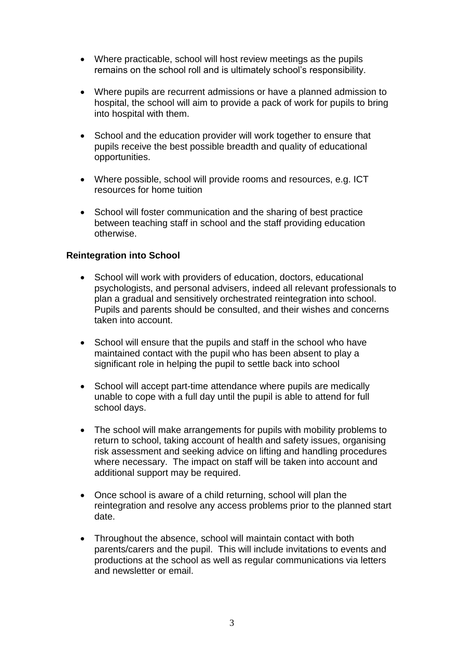- Where practicable, school will host review meetings as the pupils remains on the school roll and is ultimately school's responsibility.
- Where pupils are recurrent admissions or have a planned admission to hospital, the school will aim to provide a pack of work for pupils to bring into hospital with them.
- School and the education provider will work together to ensure that pupils receive the best possible breadth and quality of educational opportunities.
- Where possible, school will provide rooms and resources, e.g. ICT resources for home tuition
- School will foster communication and the sharing of best practice between teaching staff in school and the staff providing education otherwise.

## **Reintegration into School**

- School will work with providers of education, doctors, educational psychologists, and personal advisers, indeed all relevant professionals to plan a gradual and sensitively orchestrated reintegration into school. Pupils and parents should be consulted, and their wishes and concerns taken into account.
- School will ensure that the pupils and staff in the school who have maintained contact with the pupil who has been absent to play a significant role in helping the pupil to settle back into school
- School will accept part-time attendance where pupils are medically unable to cope with a full day until the pupil is able to attend for full school days.
- The school will make arrangements for pupils with mobility problems to return to school, taking account of health and safety issues, organising risk assessment and seeking advice on lifting and handling procedures where necessary. The impact on staff will be taken into account and additional support may be required.
- Once school is aware of a child returning, school will plan the reintegration and resolve any access problems prior to the planned start date.
- Throughout the absence, school will maintain contact with both parents/carers and the pupil. This will include invitations to events and productions at the school as well as regular communications via letters and newsletter or email.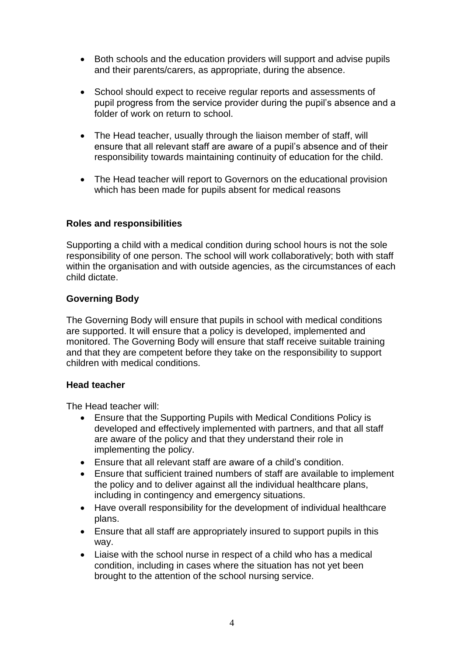- Both schools and the education providers will support and advise pupils and their parents/carers, as appropriate, during the absence.
- School should expect to receive regular reports and assessments of pupil progress from the service provider during the pupil's absence and a folder of work on return to school.
- The Head teacher, usually through the liaison member of staff, will ensure that all relevant staff are aware of a pupil's absence and of their responsibility towards maintaining continuity of education for the child.
- The Head teacher will report to Governors on the educational provision which has been made for pupils absent for medical reasons

### **Roles and responsibilities**

Supporting a child with a medical condition during school hours is not the sole responsibility of one person. The school will work collaboratively; both with staff within the organisation and with outside agencies, as the circumstances of each child dictate.

## **Governing Body**

The Governing Body will ensure that pupils in school with medical conditions are supported. It will ensure that a policy is developed, implemented and monitored. The Governing Body will ensure that staff receive suitable training and that they are competent before they take on the responsibility to support children with medical conditions.

### **Head teacher**

The Head teacher will:

- Ensure that the Supporting Pupils with Medical Conditions Policy is developed and effectively implemented with partners, and that all staff are aware of the policy and that they understand their role in implementing the policy.
- Ensure that all relevant staff are aware of a child's condition.
- Ensure that sufficient trained numbers of staff are available to implement the policy and to deliver against all the individual healthcare plans, including in contingency and emergency situations.
- Have overall responsibility for the development of individual healthcare plans.
- Ensure that all staff are appropriately insured to support pupils in this way.
- Liaise with the school nurse in respect of a child who has a medical condition, including in cases where the situation has not yet been brought to the attention of the school nursing service.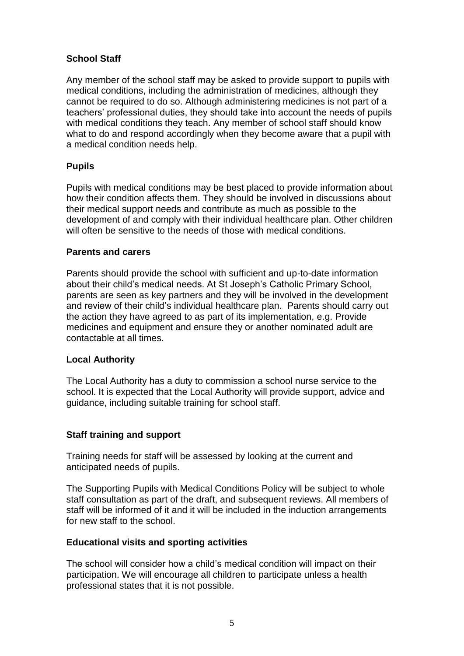## **School Staff**

Any member of the school staff may be asked to provide support to pupils with medical conditions, including the administration of medicines, although they cannot be required to do so. Although administering medicines is not part of a teachers' professional duties, they should take into account the needs of pupils with medical conditions they teach. Any member of school staff should know what to do and respond accordingly when they become aware that a pupil with a medical condition needs help.

### **Pupils**

Pupils with medical conditions may be best placed to provide information about how their condition affects them. They should be involved in discussions about their medical support needs and contribute as much as possible to the development of and comply with their individual healthcare plan. Other children will often be sensitive to the needs of those with medical conditions.

### **Parents and carers**

Parents should provide the school with sufficient and up-to-date information about their child's medical needs. At St Joseph's Catholic Primary School, parents are seen as key partners and they will be involved in the development and review of their child's individual healthcare plan. Parents should carry out the action they have agreed to as part of its implementation, e.g. Provide medicines and equipment and ensure they or another nominated adult are contactable at all times.

### **Local Authority**

The Local Authority has a duty to commission a school nurse service to the school. It is expected that the Local Authority will provide support, advice and guidance, including suitable training for school staff.

## **Staff training and support**

Training needs for staff will be assessed by looking at the current and anticipated needs of pupils.

The Supporting Pupils with Medical Conditions Policy will be subject to whole staff consultation as part of the draft, and subsequent reviews. All members of staff will be informed of it and it will be included in the induction arrangements for new staff to the school.

## **Educational visits and sporting activities**

The school will consider how a child's medical condition will impact on their participation. We will encourage all children to participate unless a health professional states that it is not possible.